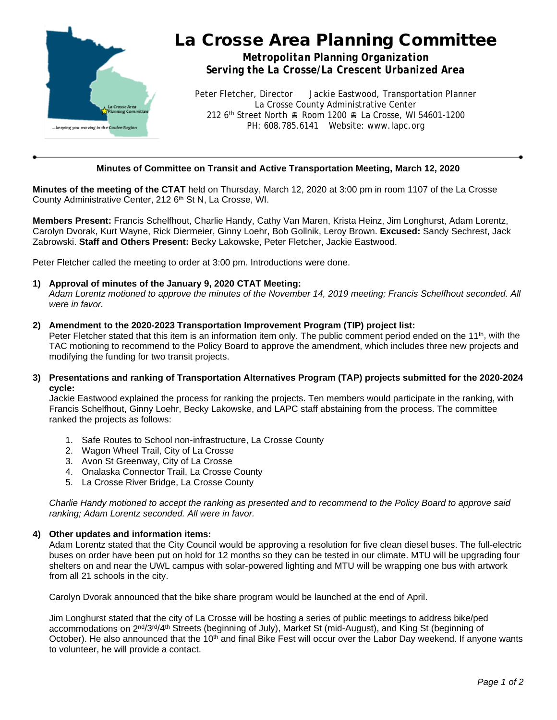

# La Crosse Area Planning Committee

*Metropolitan Planning Organization Serving the La Crosse/La Crescent Urbanized Area*

Peter Fletcher, Director Jackie Eastwood, Transportation Planner La Crosse County Administrative Center 212 6<sup>th</sup> Street North A Room 1200 A La Crosse, WI 54601-1200 PH: 608.785.6141 Website: www.lapc.org

## **Minutes of Committee on Transit and Active Transportation Meeting, March 12, 2020**

**Minutes of the meeting of the CTAT** held on Thursday, March 12, 2020 at 3:00 pm in room 1107 of the La Crosse County Administrative Center, 212 6<sup>th</sup> St N, La Crosse, WI.

**Members Present:** Francis Schelfhout, Charlie Handy, Cathy Van Maren, Krista Heinz, Jim Longhurst, Adam Lorentz, Carolyn Dvorak, Kurt Wayne, Rick Diermeier, Ginny Loehr, Bob Gollnik, Leroy Brown. **Excused:** Sandy Sechrest, Jack Zabrowski. **Staff and Others Present:** Becky Lakowske, Peter Fletcher, Jackie Eastwood.

Peter Fletcher called the meeting to order at 3:00 pm. Introductions were done.

## **1) Approval of minutes of the January 9, 2020 CTAT Meeting:**

*Adam Lorentz motioned to approve the minutes of the November 14, 2019 meeting; Francis Schelfhout seconded. All were in favor.*

#### **2) Amendment to the 2020-2023 Transportation Improvement Program (TIP) project list:**

Peter Fletcher stated that this item is an information item only. The public comment period ended on the 11<sup>th</sup>, with the TAC motioning to recommend to the Policy Board to approve the amendment, which includes three new projects and modifying the funding for two transit projects.

**3) Presentations and ranking of Transportation Alternatives Program (TAP) projects submitted for the 2020-2024 cycle:**

Jackie Eastwood explained the process for ranking the projects. Ten members would participate in the ranking, with Francis Schelfhout, Ginny Loehr, Becky Lakowske, and LAPC staff abstaining from the process. The committee ranked the projects as follows:

- 1. Safe Routes to School non-infrastructure, La Crosse County
- 2. Wagon Wheel Trail, City of La Crosse
- 3. Avon St Greenway, City of La Crosse
- 4. Onalaska Connector Trail, La Crosse County
- 5. La Crosse River Bridge, La Crosse County

*Charlie Handy motioned to accept the ranking as presented and to recommend to the Policy Board to approve said ranking; Adam Lorentz seconded. All were in favor.*

#### **4) Other updates and information items:**

Adam Lorentz stated that the City Council would be approving a resolution for five clean diesel buses. The full-electric buses on order have been put on hold for 12 months so they can be tested in our climate. MTU will be upgrading four shelters on and near the UWL campus with solar-powered lighting and MTU will be wrapping one bus with artwork from all 21 schools in the city.

Carolyn Dvorak announced that the bike share program would be launched at the end of April.

Jim Longhurst stated that the city of La Crosse will be hosting a series of public meetings to address bike/ped accommodations on 2<sup>nd</sup>/3<sup>rd</sup>/4<sup>th</sup> Streets (beginning of July), Market St (mid-August), and King St (beginning of October). He also announced that the 10<sup>th</sup> and final Bike Fest will occur over the Labor Day weekend. If anyone wants to volunteer, he will provide a contact.